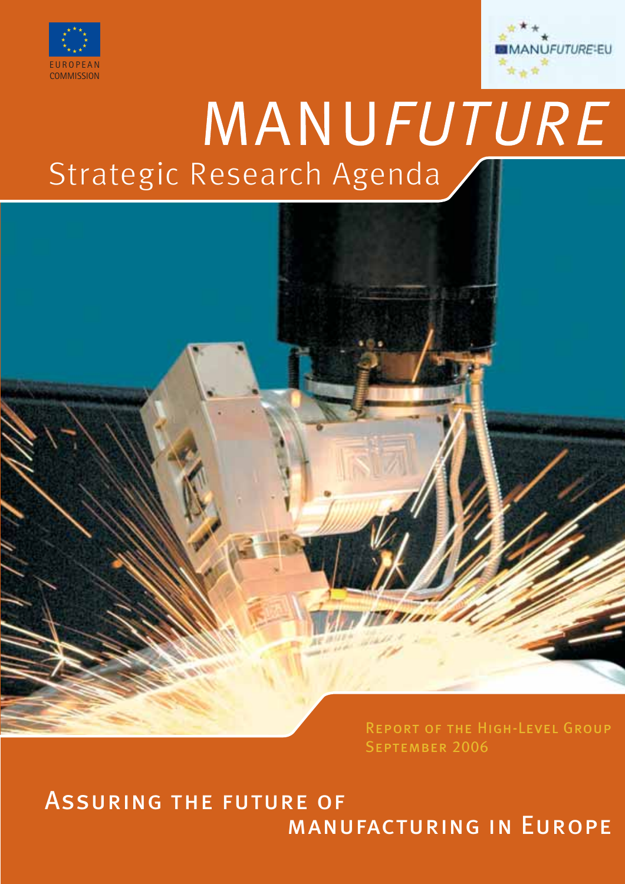



# MANUFUTURE Strategic Research Agenda



Assurance of the future of the future of  $MANU$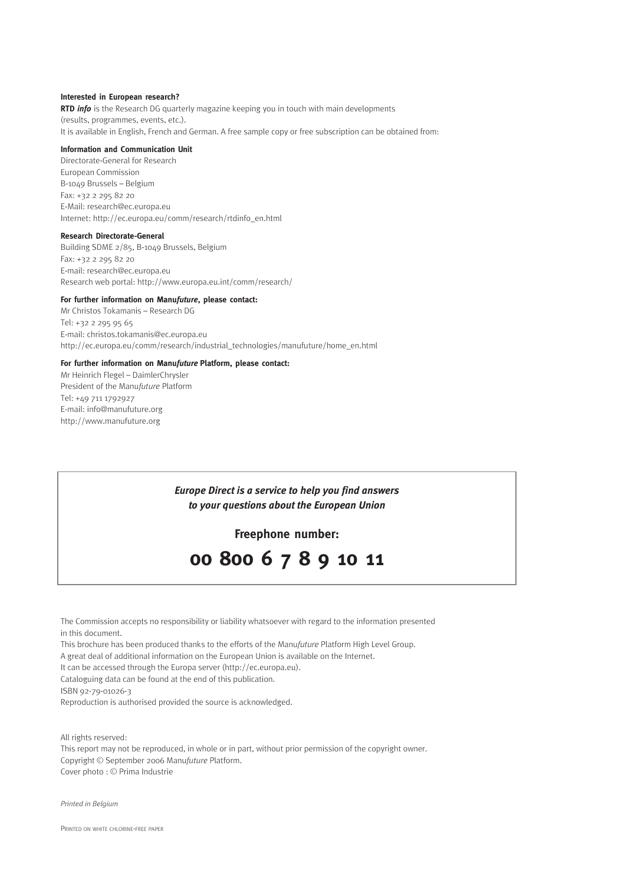#### **Interested in European research?**

**RTD** *info* is the Research DG quarterly magazine keeping you in touch with main developments (results, programmes, events, etc.). It is available in English, French and German. A free sample copy or free subscription can be obtained from:

#### **Information and Communication Unit**

Directorate-General for Research European Commission B-1049 Brussels – Belgium Fax: +32 2 295 82 20 E-Mail: research@ec.europa.eu Internet: http://ec.europa.eu/comm/research/rtdinfo\_en.html

#### **Research Directorate-General**

Building SDME 2/85, B-1049 Brussels, Belgium Fax: +32 2 295 82 20 E-mail: research@ec.europa.eu Research web portal: http://www.europa.eu.int/comm/research/

#### **For further information on Manu***future***, please contact:**

Mr Christos Tokamanis – Research DG Tel: +32 2 295 95 65 E-mail: christos.tokamanis@ec.europa.eu http://ec.europa.eu/comm/research/industrial\_technologies/manufuture/home\_en.html

#### **For further information on Manu***future* **Platform, please contact:**

Mr Heinrich Flegel – DaimlerChrysler President of the Manu*future* Platform Tel: +49 711 1792927 E-mail: info@manufuture.org http://www.manufuture.org

> *Europe Direct is a service to help you find answers to your questions about the European Union*

> > **Freephone number:**



The Commission accepts no responsibility or liability whatsoever with regard to the information presented in this document.

This brochure has been produced thanks to the efforts of the Manu*future* Platform High Level Group.

A great deal of additional information on the European Union is available on the Internet.

It can be accessed through the Europa server (http://ec.europa.eu).

Cataloguing data can be found at the end of this publication.

ISBN 92-79-01026-3

Reproduction is authorised provided the source is acknowledged.

All rights reserved:

This report may not be reproduced, in whole or in part, without prior permission of the copyright owner. Copyright © September 2006 Manu*future* Platform. Cover photo : © Prima Industrie

*Printed in Belgium*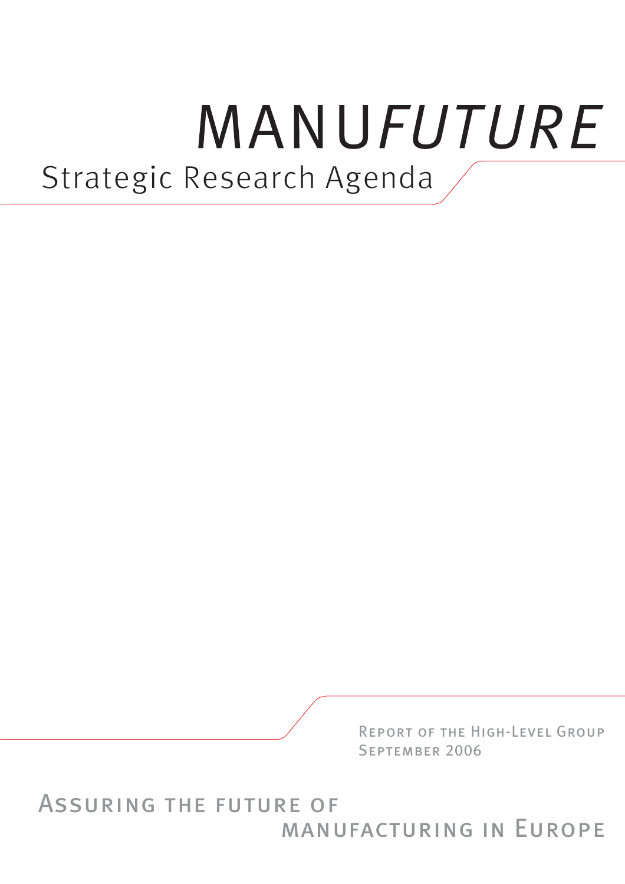# MANUFUTURE Strategic Research Agenda



**ASSURING THE FUTURE OF** MANUFACTURING IN EUROPE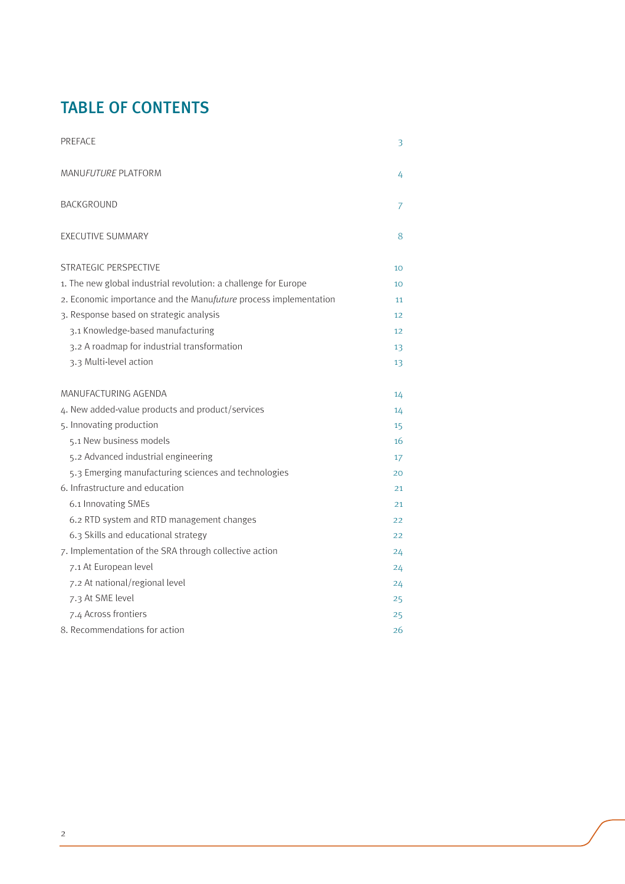## TABLE OF CONTENTS

| <b>PREFACE</b>                                                   | 3  |
|------------------------------------------------------------------|----|
| <b>MANUFUTURE PLATFORM</b>                                       | 4  |
| BACKGROUND                                                       | 7  |
| <b>EXECUTIVE SUMMARY</b>                                         | 8  |
| STRATEGIC PERSPECTIVE                                            | 10 |
| 1. The new global industrial revolution: a challenge for Europe  | 10 |
| 2. Economic importance and the Manufuture process implementation | 11 |
| 3. Response based on strategic analysis                          | 12 |
| 3.1 Knowledge-based manufacturing                                | 12 |
| 3.2 A roadmap for industrial transformation                      | 13 |
| 3.3 Multi-level action                                           | 13 |
| MANUFACTURING AGENDA                                             | 14 |
| 4. New added-value products and product/services                 | 14 |
| 5. Innovating production                                         | 15 |
| 5.1 New business models                                          | 16 |
| 5.2 Advanced industrial engineering                              | 17 |
| 5.3 Emerging manufacturing sciences and technologies             | 20 |
| 6. Infrastructure and education                                  | 21 |
| 6.1 Innovating SMEs                                              | 21 |
| 6.2 RTD system and RTD management changes                        | 22 |
| 6.3 Skills and educational strategy                              | 22 |
| 7. Implementation of the SRA through collective action           | 24 |
| 7.1 At European level                                            | 24 |
| 7.2 At national/regional level                                   | 24 |
| 7.3 At SME level                                                 | 25 |
| 7.4 Across frontiers                                             | 25 |
| 8. Recommendations for action                                    | 26 |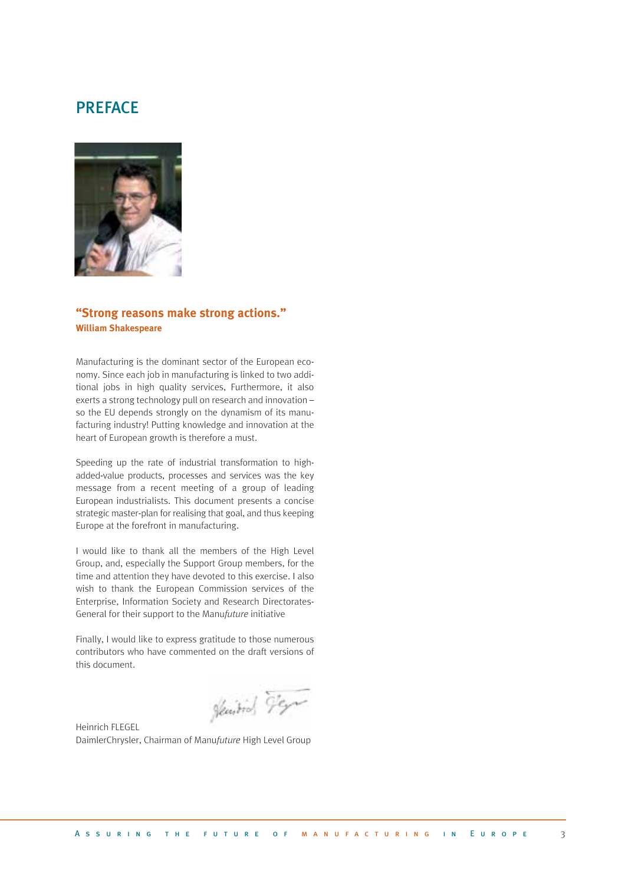### **PREFACE**



#### **"Strong reasons make strong actions." William Shakespeare**

Manufacturing is the dominant sector of the European economy. Since each job in manufacturing is linked to two additional jobs in high quality services, Furthermore, it also exerts a strong technology pull on research and innovation – so the EU depends strongly on the dynamism of its manufacturing industry! Putting knowledge and innovation at the heart of European growth is therefore a must.

Speeding up the rate of industrial transformation to highadded-value products, processes and services was the key message from a recent meeting of a group of leading European industrialists. This document presents a concise strategic master-plan for realising that goal, and thus keeping Europe at the forefront in manufacturing.

I would like to thank all the members of the High Level Group, and, especially the Support Group members, for the time and attention they have devoted to this exercise. I also wish to thank the European Commission services of the Enterprise, Information Society and Research Directorates-General for their support to the Manu*future* initiative

Finally, I would like to express gratitude to those numerous contributors who have commented on the draft versions of this document.

Hearties Fer

Heinrich FLEGEL DaimlerChrysler, Chairman of Manu*future* High Level Group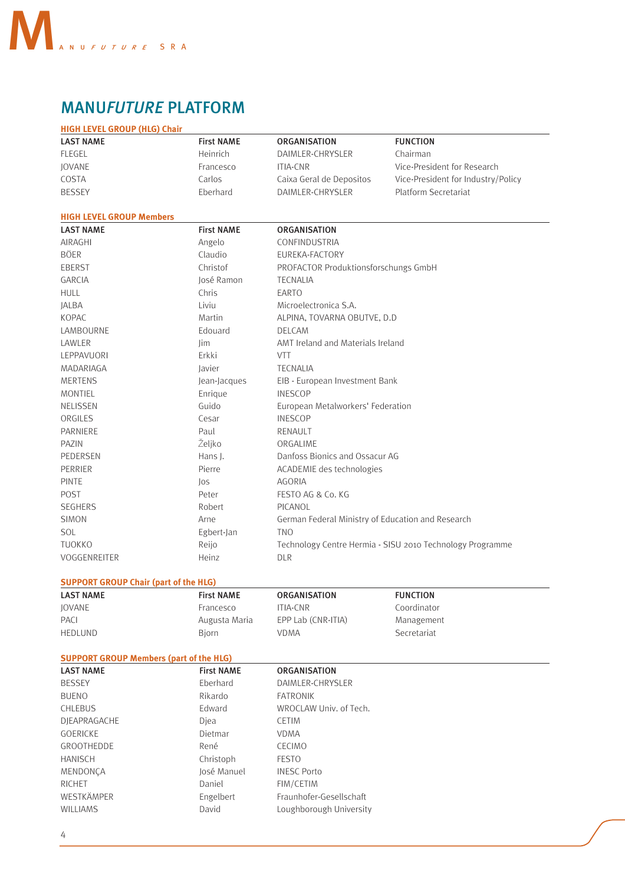

## **MANUFUTURE PLATFORM**

| <b>ORGANISATION</b>      | <b>FUNCTION</b>                                                         |
|--------------------------|-------------------------------------------------------------------------|
| DAIMLER-CHRYSLER         | Chairman                                                                |
| ITIA-CNR                 | Vice-President for Research                                             |
| Caixa Geral de Depositos | Vice-President for Industry/Policy                                      |
| DAIMLER-CHRYSLER         | Platform Secretariat                                                    |
|                          | <b>First NAME</b><br><b>Heinrich</b><br>Francesco<br>Carlos<br>Eberhard |

#### **HIGH LEVEL GROUP Members CONTRACTES**

| <b>LAST NAME</b> | <b>First NAME</b> | <b>ORGANISATION</b>                                       |
|------------------|-------------------|-----------------------------------------------------------|
| AIRAGHI          | Angelo            | CONFINDUSTRIA                                             |
| <b>BÖER</b>      | Claudio           | EUREKA-FACTORY                                            |
| <b>EBERST</b>    | Christof          | PROFACTOR Produktionsforschungs GmbH                      |
| GARCIA           | José Ramon        | <b>TECNALIA</b>                                           |
| <b>HULL</b>      | Chris             | EARTO                                                     |
| <b>JALBA</b>     | Liviu             | Microelectronica S.A.                                     |
| <b>KOPAC</b>     | Martin            | ALPINA, TOVARNA OBUTVE, D.D.                              |
| LAMBOURNE        | Edouard           | <b>DELCAM</b>                                             |
| LAWLER           | lim               | AMT Ireland and Materials Ireland                         |
| LEPPAVUORI       | Erkki             | <b>VTT</b>                                                |
| MADARIAGA        | Javier            | <b>TECNALIA</b>                                           |
| <b>MERTENS</b>   | Jean-Jacques      | EIB - European Investment Bank                            |
| <b>MONTIEL</b>   | Enrique           | <b>INESCOP</b>                                            |
| <b>NELISSEN</b>  | Guido             | European Metalworkers' Federation                         |
| ORGILES          | Cesar             | <b>INESCOP</b>                                            |
| PARNIERE         | Paul              | RENAULT                                                   |
| PAZIN            | Željko            | ORGALIME                                                  |
| PEDERSEN         | Hans J.           | Danfoss Bionics and Ossacur AG                            |
| PERRIER          | Pierre            | ACADEMIE des technologies                                 |
| <b>PINTE</b>     | $\log$            | AGORIA                                                    |
| POST             | Peter             | FESTO AG & Co. KG                                         |
| <b>SEGHERS</b>   | Robert            | PICANOL                                                   |
| <b>SIMON</b>     | Arne              | German Federal Ministry of Education and Research         |
| <b>SOL</b>       | Egbert-Jan        | <b>TNO</b>                                                |
| <b>TUOKKO</b>    | Reijo             | Technology Centre Hermia - SISU 2010 Technology Programme |
| VOGGENREITER     | Heinz             | <b>DLR</b>                                                |

#### **SUPPORT GROUP Chair (part of the HLG)** And the state of the state of the HLG)

| <b>LAST NAME</b> | <b>First NAME</b> | <b>ORGANISATION</b> | <b>FUNCTION</b> |
|------------------|-------------------|---------------------|-----------------|
| <b>IOVANE</b>    | Francesco         | <b>ITIA-CNR</b>     | Coordinator     |
| PACI             | Augusta Maria     | EPP Lab (CNR-ITIA)  | Management      |
| <b>HEDLUND</b>   | Biorn             | VDMA                | Secretariat     |

#### **SUPPORT GROUP Members (part of the HLG)**

| <b>LAST NAME</b>  | <b>First NAME</b> | <b>ORGANISATION</b>     |
|-------------------|-------------------|-------------------------|
| <b>BESSEY</b>     | Eberhard          | DAIMLER-CHRYSLER        |
| <b>BUENO</b>      | Rikardo           | <b>FATRONIK</b>         |
| <b>CHLEBUS</b>    | Edward            | WROCLAW Univ. of Tech.  |
| DIEAPRAGACHE      | Diea              | <b>CETIM</b>            |
| GOERICKE          | Dietmar           | <b>VDMA</b>             |
| <b>GROOTHEDDE</b> | René              | <b>CECIMO</b>           |
| <b>HANISCH</b>    | Christoph         | <b>FESTO</b>            |
| MENDONCA          | José Manuel       | <b>INESC Porto</b>      |
| <b>RICHET</b>     | Daniel            | FIM/CETIM               |
| WESTKÄMPER        | Engelbert         | Fraunhofer-Gesellschaft |
| <b>WILLIAMS</b>   | David             | Loughborough University |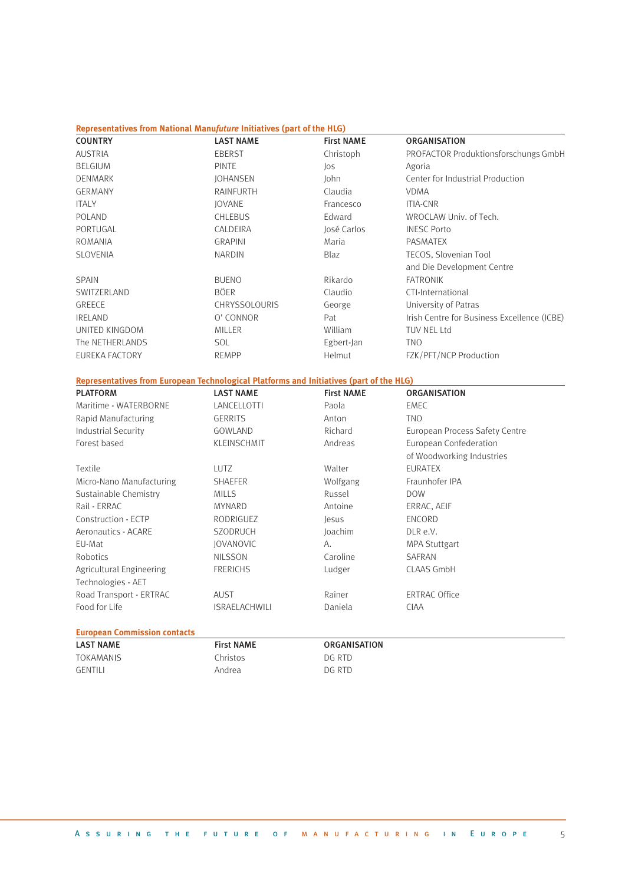#### **Representatives from National Manu***future* **Initiatives (part of the HLG)**

| <b>COUNTRY</b>                                                                          | <b>LAST NAME</b> | <b>First NAME</b> | <b>ORGANISATION</b>                         |
|-----------------------------------------------------------------------------------------|------------------|-------------------|---------------------------------------------|
| <b>AUSTRIA</b>                                                                          | <b>EBERST</b>    | Christoph         | PROFACTOR Produktionsforschungs GmbH        |
| <b>BELGIUM</b>                                                                          | <b>PINTE</b>     | $\log$            | Agoria                                      |
| <b>DENMARK</b>                                                                          | <b>JOHANSEN</b>  | <b>John</b>       | Center for Industrial Production            |
| <b>GERMANY</b>                                                                          | <b>RAINFURTH</b> | Claudia           | <b>VDMA</b>                                 |
| <b>ITALY</b>                                                                            | <b>JOVANE</b>    | Francesco         | <b>ITIA-CNR</b>                             |
| <b>POLAND</b>                                                                           | <b>CHLEBUS</b>   | Edward            | WROCLAW Univ. of Tech.                      |
| PORTUGAL                                                                                | CALDEIRA         | José Carlos       | <b>INESC Porto</b>                          |
| <b>ROMANIA</b>                                                                          | <b>GRAPINI</b>   | Maria             | <b>PASMATEX</b>                             |
| <b>SLOVENIA</b>                                                                         | <b>NARDIN</b>    | <b>Blaz</b>       | TECOS, Slovenian Tool                       |
|                                                                                         |                  |                   | and Die Development Centre                  |
| <b>SPAIN</b>                                                                            | <b>BUENO</b>     | Rikardo           | <b>FATRONIK</b>                             |
| SWITZERLAND                                                                             | <b>BÖER</b>      | Claudio           | CTI-International                           |
| GREECE                                                                                  | CHRYSSOLOURIS    | George            | University of Patras                        |
| <b>IRELAND</b>                                                                          | O' CONNOR        | Pat               | Irish Centre for Business Excellence (ICBE) |
| UNITED KINGDOM                                                                          | <b>MILLER</b>    | William           | <b>TUV NEL Ltd</b>                          |
| The NETHERLANDS                                                                         | <b>SOL</b>       | Egbert-Jan        | <b>TNO</b>                                  |
| EUREKA FACTORY                                                                          | <b>REMPP</b>     | Helmut            | FZK/PFT/NCP Production                      |
| Representatives from European Technological Platforms and Initiatives (part of the HLG) |                  |                   |                                             |
| <b>PLATFORM</b>                                                                         | <b>LAST NAME</b> | <b>First NAME</b> | <b>ORGANISATION</b>                         |
| Maritime - WATERBORNE                                                                   | LANCELLOTTI      | Paola             | <b>EMEC</b>                                 |
| Rapid Manufacturing                                                                     | <b>GERRITS</b>   | Anton             | <b>TNO</b>                                  |
| <b>Industrial Security</b>                                                              | GOWLAND          | Richard           | European Process Safety Centre              |
| Forest based                                                                            | KLEINSCHMIT      | Andreas           | European Confederation                      |

|                          |                      |          | of Woodworking Industries |
|--------------------------|----------------------|----------|---------------------------|
| Textile                  | LUTZ.                | Walter   | <b>EURATEX</b>            |
| Micro-Nano Manufacturing | <b>SHAEFER</b>       | Wolfgang | Fraunhofer IPA            |
| Sustainable Chemistry    | <b>MILLS</b>         | Russel   | <b>DOW</b>                |
| Rail - ERRAC             | <b>MYNARD</b>        | Antoine  | ERRAC, AEIF               |
| Construction - ECTP      | RODRIGUEZ            | lesus    | ENCORD                    |
| Aeronautics - ACARE      | <b>SZODRUCH</b>      | Joachim  | DLR e.V.                  |
| EU-Mat                   | <b>IOVANOVIC</b>     | А.       | <b>MPA Stuttgart</b>      |
| Robotics                 | <b>NILSSON</b>       | Caroline | SAFRAN                    |
| Agricultural Engineering | <b>FRERICHS</b>      | Ludger   | CLAAS GmbH                |
| Technologies - AET       |                      |          |                           |
| Road Transport - ERTRAC  | AUST                 | Rainer   | <b>ERTRAC Office</b>      |
| Food for Life            | <b>ISRAELACHWILI</b> | Daniela  | <b>CIAA</b>               |
|                          |                      |          |                           |

#### **European Commission contacts**

| <b>LAST NAME</b> | <b>First NAME</b> | <b>ORGANISATION</b> |
|------------------|-------------------|---------------------|
| TOKAMANIS        | Christos          | DG RTD              |
| GENTILI          | Andrea            | DG RTD              |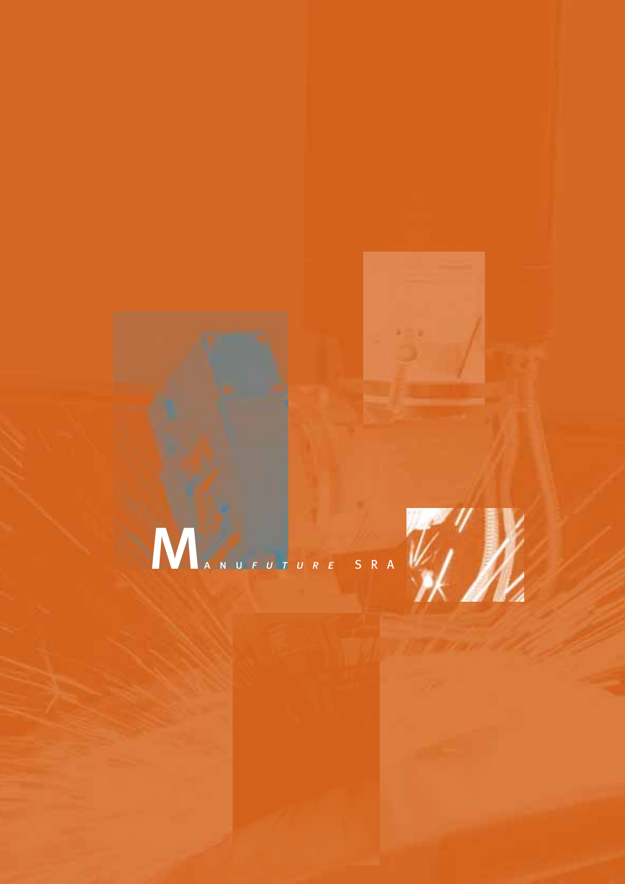



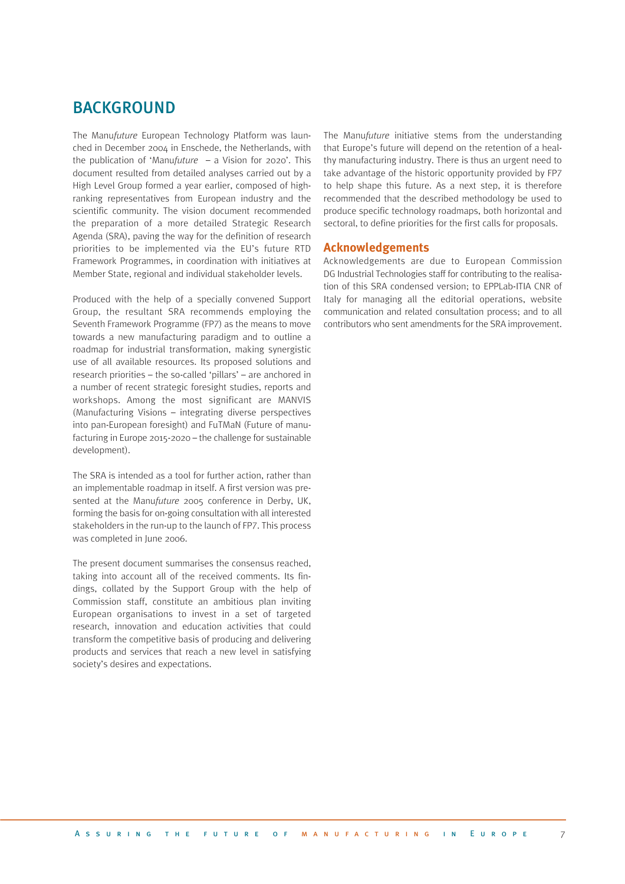### BACKGROUND

The Manu*future* European Technology Platform was launched in December 2004 in Enschede, the Netherlands, with the publication of 'Manu*future* – a Vision for 2020'. This document resulted from detailed analyses carried out by a High Level Group formed a year earlier, composed of highranking representatives from European industry and the scientific community. The vision document recommended the preparation of a more detailed Strategic Research Agenda (SRA), paving the way for the definition of research priorities to be implemented via the EU's future RTD Framework Programmes, in coordination with initiatives at Member State, regional and individual stakeholder levels.

Produced with the help of a specially convened Support Group, the resultant SRA recommends employing the Seventh Framework Programme (FP7) as the means to move towards a new manufacturing paradigm and to outline a roadmap for industrial transformation, making synergistic use of all available resources. Its proposed solutions and research priorities – the so-called 'pillars' – are anchored in a number of recent strategic foresight studies, reports and workshops. Among the most significant are MANVIS (Manufacturing Visions – integrating diverse perspectives into pan-European foresight) and FuTMaN (Future of manufacturing in Europe 2015-2020 – the challenge for sustainable development).

The SRA is intended as a tool for further action, rather than an implementable roadmap in itself. A first version was presented at the Manu*future* 2005 conference in Derby, UK, forming the basis for on-going consultation with all interested stakeholders in the run-up to the launch of FP7. This process was completed in June 2006.

The present document summarises the consensus reached, taking into account all of the received comments. Its findings, collated by the Support Group with the help of Commission staff, constitute an ambitious plan inviting European organisations to invest in a set of targeted research, innovation and education activities that could transform the competitive basis of producing and delivering products and services that reach a new level in satisfying society's desires and expectations.

The Manu*future* initiative stems from the understanding that Europe's future will depend on the retention of a healthy manufacturing industry. There is thus an urgent need to take advantage of the historic opportunity provided by FP7 to help shape this future. As a next step, it is therefore recommended that the described methodology be used to produce specific technology roadmaps, both horizontal and sectoral, to define priorities for the first calls for proposals.

#### **Acknowledgements**

Acknowledgements are due to European Commission DG Industrial Technologies staff for contributing to the realisation of this SRA condensed version; to EPPLab-ITIA CNR of Italy for managing all the editorial operations, website communication and related consultation process; and to all contributors who sent amendments for the SRA improvement.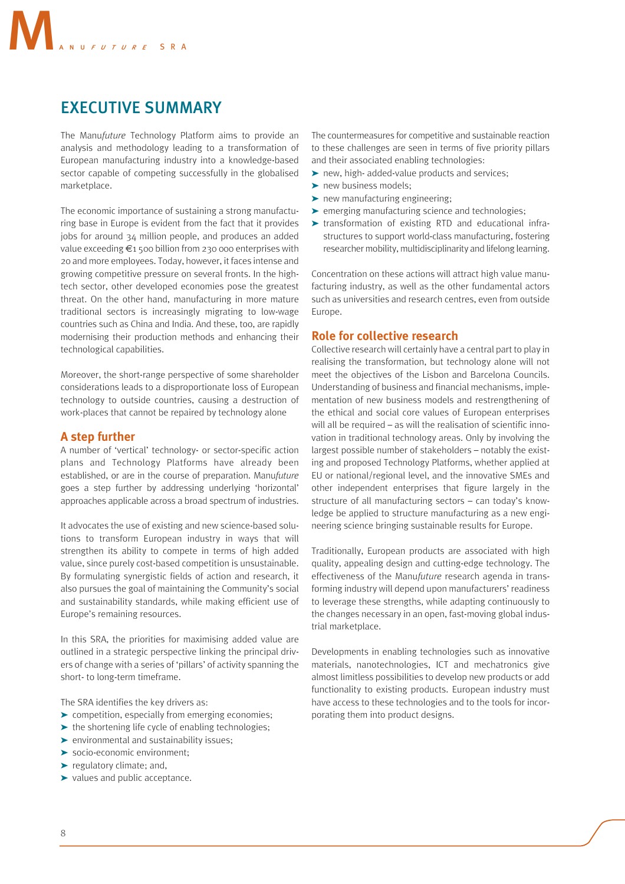## EXECUTIVE SUMMARY

The Manu*future* Technology Platform aims to provide an analysis and methodology leading to a transformation of European manufacturing industry into a knowledge-based sector capable of competing successfully in the globalised marketplace.

The economic importance of sustaining a strong manufacturing base in Europe is evident from the fact that it provides jobs for around 34 million people, and produces an added value exceeding €1 500 billion from 230 000 enterprises with 20 and more employees. Today, however, it faces intense and growing competitive pressure on several fronts. In the hightech sector, other developed economies pose the greatest threat. On the other hand, manufacturing in more mature traditional sectors is increasingly migrating to low-wage countries such as China and India. And these, too, are rapidly modernising their production methods and enhancing their technological capabilities.

Moreover, the short-range perspective of some shareholder considerations leads to a disproportionate loss of European technology to outside countries, causing a destruction of work-places that cannot be repaired by technology alone

#### **A step further**

A number of 'vertical' technology- or sector-specific action plans and Technology Platforms have already been established, or are in the course of preparation. Manu*future* goes a step further by addressing underlying 'horizontal' approaches applicable across a broad spectrum of industries.

It advocates the use of existing and new science-based solutions to transform European industry in ways that will strengthen its ability to compete in terms of high added value, since purely cost-based competition is unsustainable. By formulating synergistic fields of action and research, it also pursues the goal of maintaining the Community's social and sustainability standards, while making efficient use of Europe's remaining resources.

In this SRA, the priorities for maximising added value are outlined in a strategic perspective linking the principal drivers of change with a series of 'pillars' of activity spanning the short- to long-term timeframe.

The SRA identifies the key drivers as:

- ➤ competition, especially from emerging economies;
- ► the shortening life cycle of enabling technologies;
- ➤ environmental and sustainability issues;
- ➤ socio-economic environment;
- ➤ regulatory climate; and,
- ➤ values and public acceptance.

The countermeasures for competitive and sustainable reaction to these challenges are seen in terms of five priority pillars and their associated enabling technologies:

- ➤ new, high- added-value products and services;
- ▶ new business models;
- ➤ new manufacturing engineering;
- ➤ emerging manufacturing science and technologies;
- ➤ transformation of existing RTD and educational infrastructures to support world-class manufacturing, fostering researcher mobility, multidisciplinarity and lifelong learning.

Concentration on these actions will attract high value manufacturing industry, as well as the other fundamental actors such as universities and research centres, even from outside Europe.

#### **Role for collective research**

Collective research will certainly have a central part to play in realising the transformation, but technology alone will not meet the objectives of the Lisbon and Barcelona Councils. Understanding of business and financial mechanisms, implementation of new business models and restrengthening of the ethical and social core values of European enterprises will all be required – as will the realisation of scientific innovation in traditional technology areas. Only by involving the largest possible number of stakeholders – notably the existing and proposed Technology Platforms, whether applied at EU or national/regional level, and the innovative SMEs and other independent enterprises that figure largely in the structure of all manufacturing sectors – can today's knowledge be applied to structure manufacturing as a new engineering science bringing sustainable results for Europe.

Traditionally, European products are associated with high quality, appealing design and cutting-edge technology. The effectiveness of the Manu*future* research agenda in transforming industry will depend upon manufacturers' readiness to leverage these strengths, while adapting continuously to the changes necessary in an open, fast-moving global industrial marketplace.

Developments in enabling technologies such as innovative materials, nanotechnologies, ICT and mechatronics give almost limitless possibilities to develop new products or add functionality to existing products. European industry must have access to these technologies and to the tools for incorporating them into product designs.